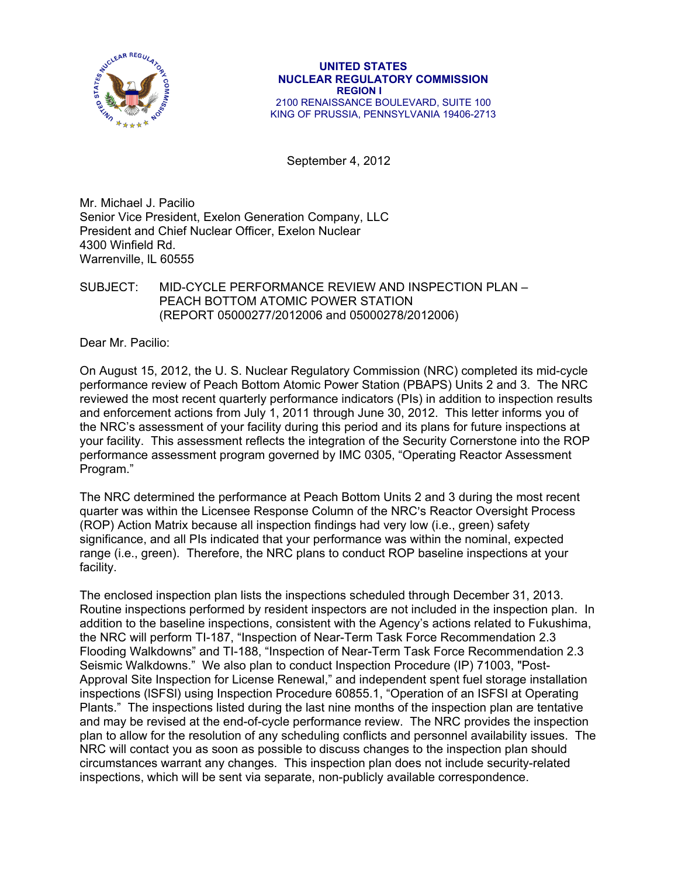

#### **UNITED STATES NUCLEAR REGULATORY COMMISSION REGION I**  2100 RENAISSANCE BOULEVARD, SUITE 100 KING OF PRUSSIA, PENNSYLVANIA 19406-2713

September 4, 2012

Mr. Michael J. Pacilio Senior Vice President, Exelon Generation Company, LLC President and Chief Nuclear Officer, Exelon Nuclear 4300 Winfield Rd. Warrenville, lL 60555

#### SUBJECT: MID-CYCLE PERFORMANCE REVIEW AND INSPECTION PLAN – PEACH BOTTOM ATOMIC POWER STATION (REPORT 05000277/2012006 and 05000278/2012006)

Dear Mr. Pacilio:

On August 15, 2012, the U. S. Nuclear Regulatory Commission (NRC) completed its mid-cycle performance review of Peach Bottom Atomic Power Station (PBAPS) Units 2 and 3. The NRC reviewed the most recent quarterly performance indicators (PIs) in addition to inspection results and enforcement actions from July 1, 2011 through June 30, 2012. This letter informs you of the NRC's assessment of your facility during this period and its plans for future inspections at your facility. This assessment reflects the integration of the Security Cornerstone into the ROP performance assessment program governed by IMC 0305, "Operating Reactor Assessment Program."

The NRC determined the performance at Peach Bottom Units 2 and 3 during the most recent quarter was within the Licensee Response Column of the NRC's Reactor Oversight Process (ROP) Action Matrix because all inspection findings had very low (i.e., green) safety significance, and all PIs indicated that your performance was within the nominal, expected range (i.e., green). Therefore, the NRC plans to conduct ROP baseline inspections at your facility.

The enclosed inspection plan lists the inspections scheduled through December 31, 2013. Routine inspections performed by resident inspectors are not included in the inspection plan. In addition to the baseline inspections, consistent with the Agency's actions related to Fukushima, the NRC will perform TI-187, "Inspection of Near-Term Task Force Recommendation 2.3 Flooding Walkdowns" and TI-188, "Inspection of Near-Term Task Force Recommendation 2.3 Seismic Walkdowns." We also plan to conduct Inspection Procedure (IP) 71003, "Post-Approval Site Inspection for License Renewal," and independent spent fuel storage installation inspections (lSFSl) using Inspection Procedure 60855.1, "Operation of an ISFSI at Operating Plants." The inspections listed during the last nine months of the inspection plan are tentative and may be revised at the end-of-cycle performance review. The NRC provides the inspection plan to allow for the resolution of any scheduling conflicts and personnel availability issues. The NRC will contact you as soon as possible to discuss changes to the inspection plan should circumstances warrant any changes. This inspection plan does not include security-related inspections, which will be sent via separate, non-publicly available correspondence.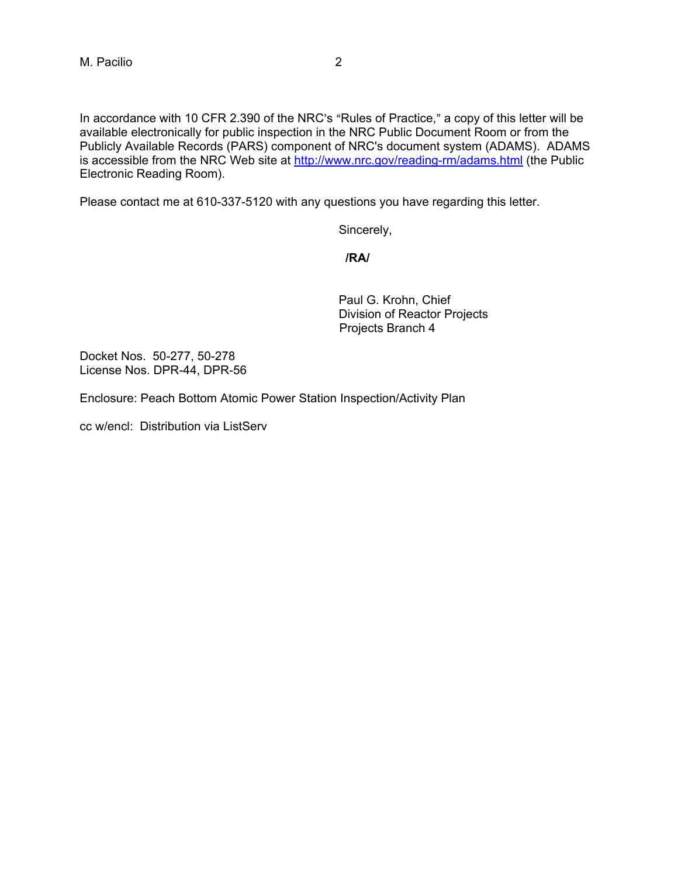In accordance with 10 CFR 2.390 of the NRC's "Rules of Practice," a copy of this letter will be available electronically for public inspection in the NRC Public Document Room or from the Publicly Available Records (PARS) component of NRC's document system (ADAMS). ADAMS is accessible from the NRC Web site at http://www.nrc.gov/reading-rm/adams.html (the Public Electronic Reading Room).

Please contact me at 610-337-5120 with any questions you have regarding this letter.

Sincerely,

**/RA/** 

Paul G. Krohn, Chief Division of Reactor Projects Projects Branch 4

Docket Nos. 50-277, 50-278 License Nos. DPR-44, DPR-56

Enclosure: Peach Bottom Atomic Power Station Inspection/Activity Plan

cc w/encl: Distribution via ListServ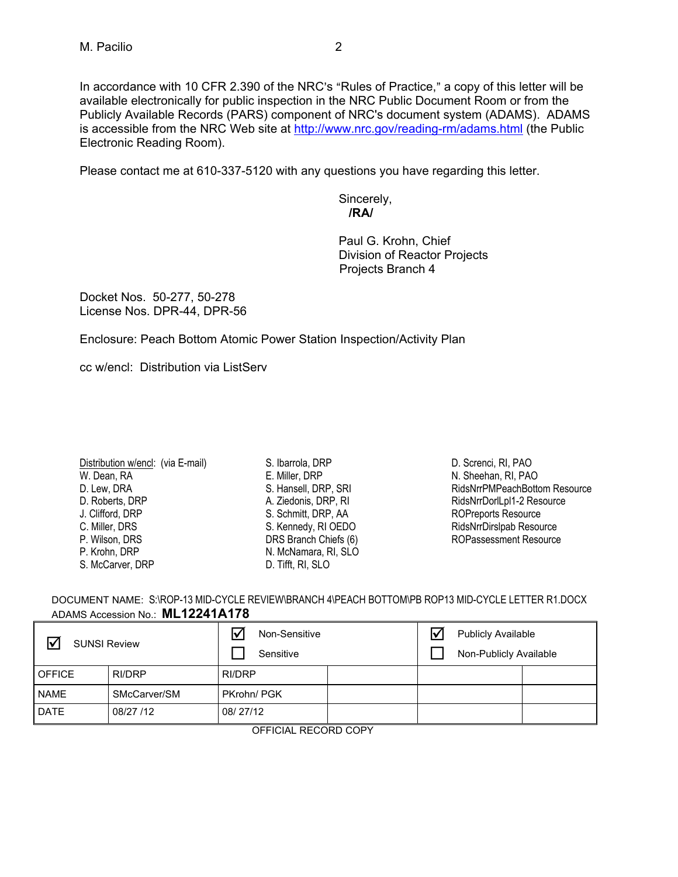In accordance with 10 CFR 2.390 of the NRC's "Rules of Practice," a copy of this letter will be available electronically for public inspection in the NRC Public Document Room or from the Publicly Available Records (PARS) component of NRC's document system (ADAMS). ADAMS is accessible from the NRC Web site at http://www.nrc.gov/reading-rm/adams.html (the Public Electronic Reading Room).

Please contact me at 610-337-5120 with any questions you have regarding this letter.

Sincerely,  **/RA/** 

Paul G. Krohn, Chief Division of Reactor Projects Projects Branch 4

Docket Nos. 50-277, 50-278 License Nos. DPR-44, DPR-56

Enclosure: Peach Bottom Atomic Power Station Inspection/Activity Plan

cc w/encl: Distribution via ListServ

| Distribution w/encl: (via E-mail)<br>W. Dean, RA |  |
|--------------------------------------------------|--|
|                                                  |  |
| D. Lew, DRA                                      |  |
| D. Roberts, DRP                                  |  |
| J. Clifford, DRP                                 |  |
| C. Miller, DRS                                   |  |
| P. Wilson, DRS                                   |  |
| P. Krohn, DRP                                    |  |
| S. McCarver, DRP                                 |  |

S. Ibarrola, DRP E. Miller, DRP S. Hansell, DRP, SRI A. Ziedonis, DRP, RI S. Schmitt, DRP, AA S. Kennedy, RI OEDO DRS Branch Chiefs (6) N. McNamara, RI, SLO D. Tifft, RI, SLO

D. Screnci, RI, PAO N. Sheehan, RI, PAO RidsNrrPMPeachBottom Resource RidsNrrDorlLpl1-2 Resource ROPreports Resource RidsNrrDirslpab Resource ROPassessment Resource

| DOCUMENT NAME: S:\ROP-13 MID-CYCLE REVIEW\BRANCH 4\PEACH BOTTOM\PB ROP13 MID-CYCLE LETTER R1.DOCX |
|---------------------------------------------------------------------------------------------------|
| ADAMS Accession No.: ML12241A178                                                                  |

| <b>SUNSI Review</b> |              | Non-Sensitive<br>Sensitive | <b>Publicly Available</b><br>Non-Publicly Available |  |  |  |
|---------------------|--------------|----------------------------|-----------------------------------------------------|--|--|--|
| <b>OFFICE</b>       | RI/DRP       | RI/DRP                     |                                                     |  |  |  |
| NAME                | SMcCarver/SM | PKrohn/ PGK                |                                                     |  |  |  |
| <b>DATE</b>         | 08/27 /12    | 08/27/12                   |                                                     |  |  |  |

OFFICIAL RECORD COPY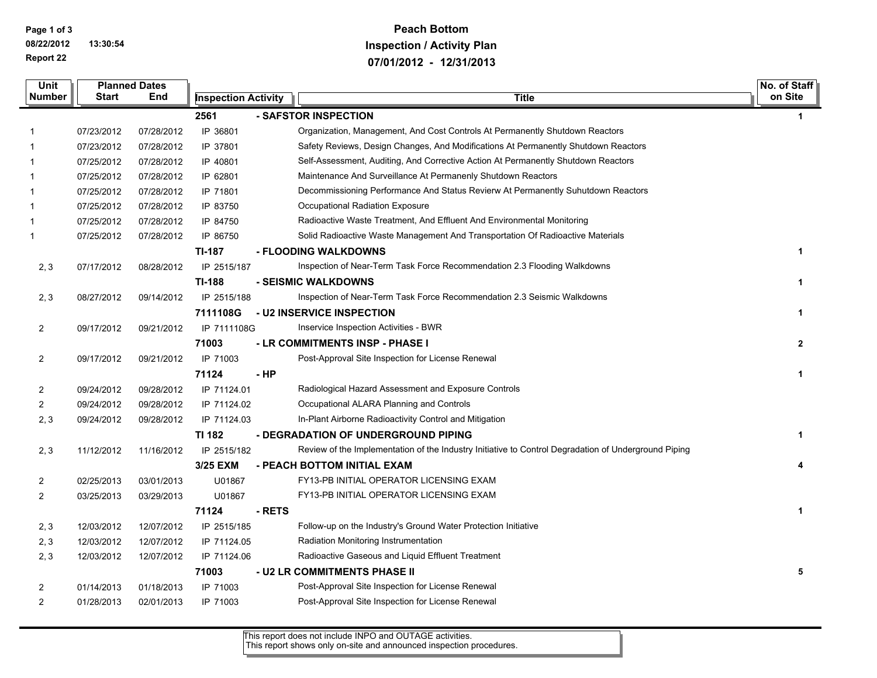**Page 1 of 3 08/22/2012 13:30:54 Report 22**

 $\overline{\phantom{0}}$ 

## **Peach Bottom Inspection / Activity Plan 07/01/2012 - 12/31/2013**

| Unit           | <b>Planned Dates</b> |            |                            |        |                                                                                                      | No. of Staff |
|----------------|----------------------|------------|----------------------------|--------|------------------------------------------------------------------------------------------------------|--------------|
| <b>Number</b>  | <b>Start</b>         | End        | <b>Inspection Activity</b> |        | <b>Title</b>                                                                                         | on Site      |
|                |                      |            | 2561                       |        | - SAFSTOR INSPECTION                                                                                 | $\mathbf 1$  |
| $\mathbf{1}$   | 07/23/2012           | 07/28/2012 | IP 36801                   |        | Organization, Management, And Cost Controls At Permanently Shutdown Reactors                         |              |
| 1              | 07/23/2012           | 07/28/2012 | IP 37801                   |        | Safety Reviews, Design Changes, And Modifications At Permanently Shutdown Reactors                   |              |
| 1              | 07/25/2012           | 07/28/2012 | IP 40801                   |        | Self-Assessment, Auditing, And Corrective Action At Permanently Shutdown Reactors                    |              |
| 1              | 07/25/2012           | 07/28/2012 | IP 62801                   |        | Maintenance And Surveillance At Permanenly Shutdown Reactors                                         |              |
| 1              | 07/25/2012           | 07/28/2012 | IP 71801                   |        | Decommissioning Performance And Status Revierw At Permanently Suhutdown Reactors                     |              |
| 1              | 07/25/2012           | 07/28/2012 | IP 83750                   |        | Occupational Radiation Exposure                                                                      |              |
| 1              | 07/25/2012           | 07/28/2012 | IP 84750                   |        | Radioactive Waste Treatment, And Effluent And Environmental Monitoring                               |              |
| 1              | 07/25/2012           | 07/28/2012 | IP 86750                   |        | Solid Radioactive Waste Management And Transportation Of Radioactive Materials                       |              |
|                |                      |            | <b>TI-187</b>              |        | - FLOODING WALKDOWNS                                                                                 | $\mathbf 1$  |
| 2, 3           | 07/17/2012           | 08/28/2012 | IP 2515/187                |        | Inspection of Near-Term Task Force Recommendation 2.3 Flooding Walkdowns                             |              |
|                |                      |            | <b>TI-188</b>              |        | - SEISMIC WALKDOWNS                                                                                  | 1            |
| 2, 3           | 08/27/2012           | 09/14/2012 | IP 2515/188                |        | Inspection of Near-Term Task Force Recommendation 2.3 Seismic Walkdowns                              |              |
|                |                      |            | 7111108G                   |        | - U2 INSERVICE INSPECTION                                                                            | 1            |
| $\overline{2}$ | 09/17/2012           | 09/21/2012 | IP 7111108G                |        | Inservice Inspection Activities - BWR                                                                |              |
|                |                      |            | 71003                      |        | - LR COMMITMENTS INSP - PHASE I                                                                      | $\mathbf{2}$ |
| $\overline{2}$ | 09/17/2012           | 09/21/2012 | IP 71003                   |        | Post-Approval Site Inspection for License Renewal                                                    |              |
|                |                      |            | 71124                      | $-HP$  |                                                                                                      | 1            |
| $\overline{a}$ | 09/24/2012           | 09/28/2012 | IP 71124.01                |        | Radiological Hazard Assessment and Exposure Controls                                                 |              |
| $\overline{2}$ | 09/24/2012           | 09/28/2012 | IP 71124.02                |        | Occupational ALARA Planning and Controls                                                             |              |
| 2, 3           | 09/24/2012           | 09/28/2012 | IP 71124.03                |        | In-Plant Airborne Radioactivity Control and Mitigation                                               |              |
|                |                      |            | <b>TI 182</b>              |        | - DEGRADATION OF UNDERGROUND PIPING                                                                  | $\mathbf 1$  |
| 2, 3           | 11/12/2012           | 11/16/2012 | IP 2515/182                |        | Review of the Implementation of the Industry Initiative to Control Degradation of Underground Piping |              |
|                |                      |            | 3/25 EXM                   |        | - PEACH BOTTOM INITIAL EXAM                                                                          | 4            |
| $\overline{2}$ | 02/25/2013           | 03/01/2013 | U01867                     |        | FY13-PB INITIAL OPERATOR LICENSING EXAM                                                              |              |
| $\overline{2}$ | 03/25/2013           | 03/29/2013 | U01867                     |        | FY13-PB INITIAL OPERATOR LICENSING EXAM                                                              |              |
|                |                      |            | 71124                      | - RETS |                                                                                                      | 1            |
| 2, 3           | 12/03/2012           | 12/07/2012 | IP 2515/185                |        | Follow-up on the Industry's Ground Water Protection Initiative                                       |              |
| 2, 3           | 12/03/2012           | 12/07/2012 | IP 71124.05                |        | Radiation Monitoring Instrumentation                                                                 |              |
| 2, 3           | 12/03/2012           | 12/07/2012 | IP 71124.06                |        | Radioactive Gaseous and Liquid Effluent Treatment                                                    |              |
|                |                      |            | 71003                      |        | - U2 LR COMMITMENTS PHASE II                                                                         | 5            |
| 2              | 01/14/2013           | 01/18/2013 | IP 71003                   |        | Post-Approval Site Inspection for License Renewal                                                    |              |
| $\overline{2}$ | 01/28/2013           | 02/01/2013 | IP 71003                   |        | Post-Approval Site Inspection for License Renewal                                                    |              |

This report does not include INPO and OUTAGE activities. This report shows only on-site and announced inspection procedures.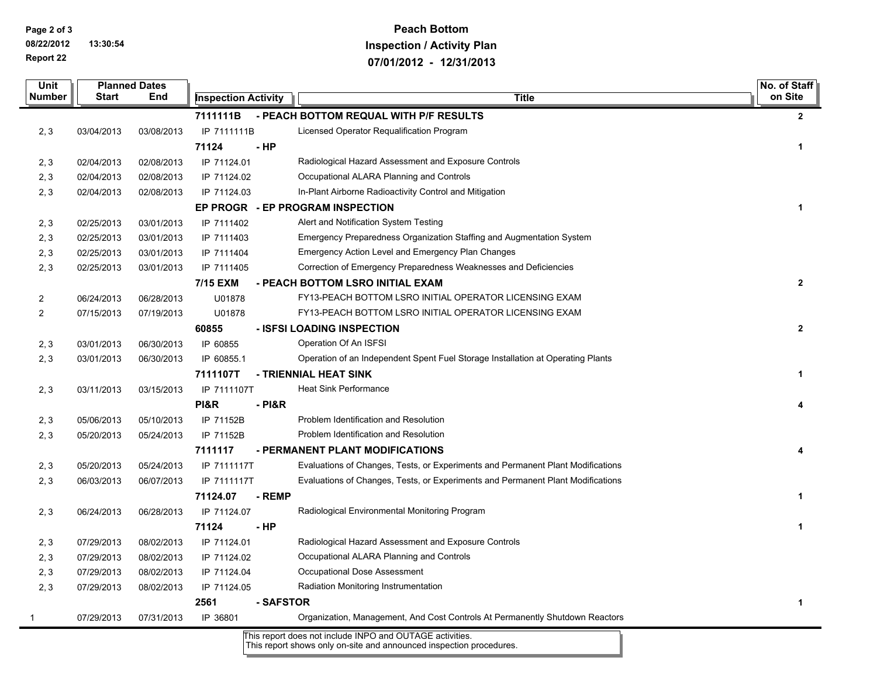**Page 2 of 3**

**08/22/2012 13:30:54 Report 22**

## **Peach Bottom Inspection / Activity Plan 07/01/2012 - 12/31/2013**

| <b>Unit</b><br>Number | <b>Planned Dates</b><br>Start<br>End |            | <b>Inspection Activity</b> |           | <b>Title</b>                                                                    | No. of Staff<br>on Site |
|-----------------------|--------------------------------------|------------|----------------------------|-----------|---------------------------------------------------------------------------------|-------------------------|
|                       |                                      |            | 7111111B                   |           | - PEACH BOTTOM REQUAL WITH P/F RESULTS                                          | $\mathbf{2}$            |
| 2, 3                  | 03/04/2013                           | 03/08/2013 | IP 7111111B                |           | Licensed Operator Requalification Program                                       |                         |
|                       |                                      |            | 71124                      | - HP      |                                                                                 | 1                       |
| 2, 3                  | 02/04/2013                           | 02/08/2013 | IP 71124.01                |           | Radiological Hazard Assessment and Exposure Controls                            |                         |
| 2, 3                  | 02/04/2013                           | 02/08/2013 | IP 71124.02                |           | Occupational ALARA Planning and Controls                                        |                         |
| 2, 3                  | 02/04/2013                           | 02/08/2013 | IP 71124.03                |           | In-Plant Airborne Radioactivity Control and Mitigation                          |                         |
|                       |                                      |            |                            |           | EP PROGR - EP PROGRAM INSPECTION                                                | $\mathbf{1}$            |
| 2, 3                  | 02/25/2013                           | 03/01/2013 | IP 7111402                 |           | Alert and Notification System Testing                                           |                         |
| 2, 3                  | 02/25/2013                           | 03/01/2013 | IP 7111403                 |           | Emergency Preparedness Organization Staffing and Augmentation System            |                         |
| 2, 3                  | 02/25/2013                           | 03/01/2013 | IP 7111404                 |           | <b>Emergency Action Level and Emergency Plan Changes</b>                        |                         |
| 2, 3                  | 02/25/2013                           | 03/01/2013 | IP 7111405                 |           | Correction of Emergency Preparedness Weaknesses and Deficiencies                |                         |
|                       |                                      |            | 7/15 EXM                   |           | - PEACH BOTTOM LSRO INITIAL EXAM                                                | $\mathbf{2}$            |
| $\overline{a}$        | 06/24/2013                           | 06/28/2013 | U01878                     |           | FY13-PEACH BOTTOM LSRO INITIAL OPERATOR LICENSING EXAM                          |                         |
| $\overline{2}$        | 07/15/2013                           | 07/19/2013 | U01878                     |           | FY13-PEACH BOTTOM LSRO INITIAL OPERATOR LICENSING EXAM                          |                         |
|                       |                                      |            | 60855                      |           | - ISFSI LOADING INSPECTION                                                      | $\mathbf{2}$            |
| 2, 3                  | 03/01/2013                           | 06/30/2013 | IP 60855                   |           | Operation Of An ISFSI                                                           |                         |
| 2, 3                  | 03/01/2013                           | 06/30/2013 | IP 60855.1                 |           | Operation of an Independent Spent Fuel Storage Installation at Operating Plants |                         |
|                       |                                      |            | 7111107T                   |           | - TRIENNIAL HEAT SINK                                                           | 1                       |
| 2, 3                  | 03/11/2013                           | 03/15/2013 | IP 7111107T                |           | <b>Heat Sink Performance</b>                                                    |                         |
|                       |                                      |            | <b>PI&amp;R</b>            | - PI&R    |                                                                                 | 4                       |
| 2, 3                  | 05/06/2013                           | 05/10/2013 | IP 71152B                  |           | Problem Identification and Resolution                                           |                         |
| 2, 3                  | 05/20/2013                           | 05/24/2013 | IP 71152B                  |           | Problem Identification and Resolution                                           |                         |
|                       |                                      |            | 7111117                    |           | - PERMANENT PLANT MODIFICATIONS                                                 | 4                       |
| 2, 3                  | 05/20/2013                           | 05/24/2013 | IP 7111117T                |           | Evaluations of Changes, Tests, or Experiments and Permanent Plant Modifications |                         |
| 2, 3                  | 06/03/2013                           | 06/07/2013 | IP 7111117T                |           | Evaluations of Changes, Tests, or Experiments and Permanent Plant Modifications |                         |
|                       |                                      |            | 71124.07                   | - REMP    |                                                                                 | 1                       |
| 2, 3                  | 06/24/2013                           | 06/28/2013 | IP 71124.07                |           | Radiological Environmental Monitoring Program                                   |                         |
|                       |                                      |            | 71124                      | $-HP$     |                                                                                 | 1                       |
| 2, 3                  | 07/29/2013                           | 08/02/2013 | IP 71124.01                |           | Radiological Hazard Assessment and Exposure Controls                            |                         |
| 2, 3                  | 07/29/2013                           | 08/02/2013 | IP 71124.02                |           | Occupational ALARA Planning and Controls                                        |                         |
| 2, 3                  | 07/29/2013                           | 08/02/2013 | IP 71124.04                |           | Occupational Dose Assessment                                                    |                         |
| 2, 3                  | 07/29/2013                           | 08/02/2013 | IP 71124.05                |           | Radiation Monitoring Instrumentation                                            |                         |
|                       |                                      |            | 2561                       | - SAFSTOR |                                                                                 | $\mathbf{1}$            |
| 1                     | 07/29/2013                           | 07/31/2013 | IP 36801                   |           | Organization, Management, And Cost Controls At Permanently Shutdown Reactors    |                         |

This report does not include INPO and OUTAGE activities. This report shows only on-site and announced inspection procedures.